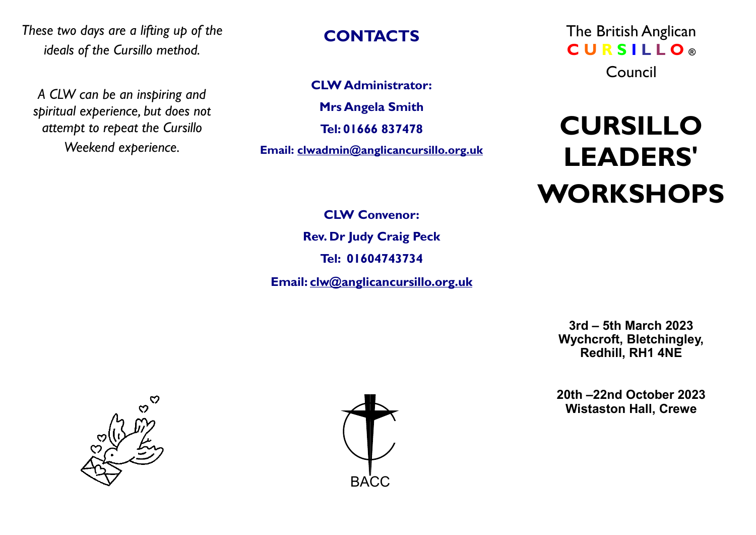*These two days are a lifting up of the ideals of the Cursillo method.*

*A CLW can be an inspiring and spiritual experience, but does not attempt to repeat the Cursillo Weekend experience.*

#### **CONTACTS**

**CLW Administrator: Mrs Angela Smith Tel: 01666 837478 Email: clwadmin@anglicancursillo.org.uk**  The British Anglican **C U R S I L L O ®** Council

# **CURSILLO LEADERS' WORKSHOPS**

**CLW Convenor: Rev. Dr Judy Craig Peck Tel: 01604743734**

**Email: clw@anglicancursillo.org.uk**

**3rd – 5th March 2023 Wychcroft, Bletchingley, Redhill, RH1 4NE**

**20th –22nd October 2023 Wistaston Hall, Crewe**